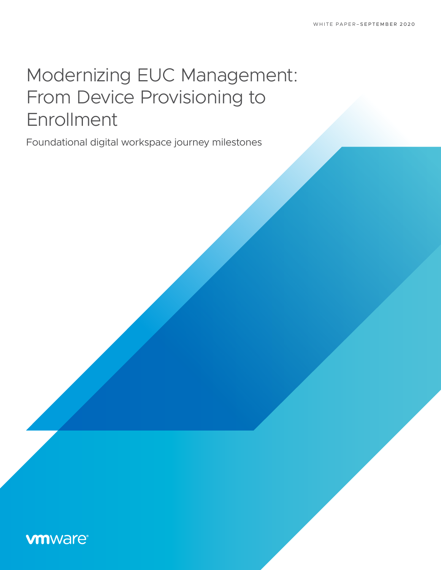# Modernizing EUC Management: From Device Provisioning to Enrollment

Foundational digital workspace journey milestones

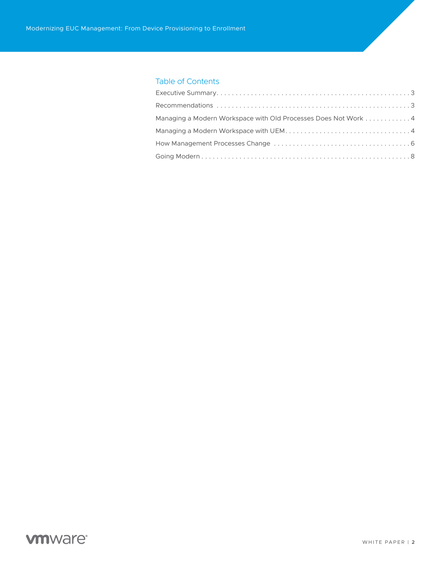### Table of Contents

| Managing a Modern Workspace with Old Processes Does Not Work 4 |  |
|----------------------------------------------------------------|--|
|                                                                |  |
|                                                                |  |
|                                                                |  |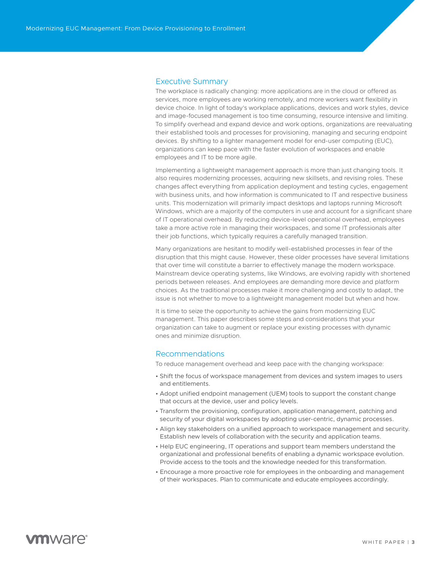### <span id="page-2-0"></span>Executive Summary

The workplace is radically changing: more applications are in the cloud or offered as services, more employees are working remotely, and more workers want flexibility in device choice. In light of today's workplace applications, devices and work styles, device and image-focused management is too time consuming, resource intensive and limiting. To simplify overhead and expand device and work options, organizations are reevaluating their established tools and processes for provisioning, managing and securing endpoint devices. By shifting to a lighter management model for end-user computing (EUC), organizations can keep pace with the faster evolution of workspaces and enable employees and IT to be more agile.

Implementing a lightweight management approach is more than just changing tools. It also requires modernizing processes, acquiring new skillsets, and revising roles. These changes affect everything from application deployment and testing cycles, engagement with business units, and how information is communicated to IT and respective business units. This modernization will primarily impact desktops and laptops running Microsoft Windows, which are a majority of the computers in use and account for a significant share of IT operational overhead. By reducing device-level operational overhead, employees take a more active role in managing their workspaces, and some IT professionals alter their job functions, which typically requires a carefully managed transition.

Many organizations are hesitant to modify well-established processes in fear of the disruption that this might cause. However, these older processes have several limitations that over time will constitute a barrier to effectively manage the modern workspace. Mainstream device operating systems, like Windows, are evolving rapidly with shortened periods between releases. And employees are demanding more device and platform choices. As the traditional processes make it more challenging and costly to adapt, the issue is not whether to move to a lightweight management model but when and how.

It is time to seize the opportunity to achieve the gains from modernizing EUC management. This paper describes some steps and considerations that your organization can take to augment or replace your existing processes with dynamic ones and minimize disruption.

#### <span id="page-2-1"></span>Recommendations

To reduce management overhead and keep pace with the changing workspace:

- Shift the focus of workspace management from devices and system images to users and entitlements.
- Adopt unified endpoint management (UEM) tools to support the constant change that occurs at the device, user and policy levels.
- Transform the provisioning, configuration, application management, patching and security of your digital workspaces by adopting user-centric, dynamic processes.
- Align key stakeholders on a unified approach to workspace management and security. Establish new levels of collaboration with the security and application teams.
- Help EUC engineering, IT operations and support team members understand the organizational and professional benefits of enabling a dynamic workspace evolution. Provide access to the tools and the knowledge needed for this transformation.
- Encourage a more proactive role for employees in the onboarding and management of their workspaces. Plan to communicate and educate employees accordingly.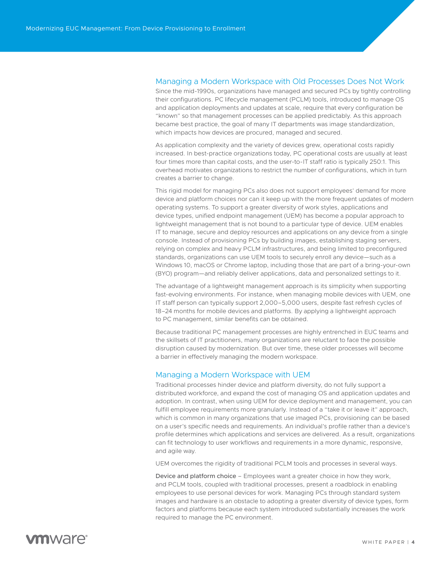### <span id="page-3-0"></span>Managing a Modern Workspace with Old Processes Does Not Work

Since the mid-1990s, organizations have managed and secured PCs by tightly controlling their configurations. PC lifecycle management (PCLM) tools, introduced to manage OS and application deployments and updates at scale, require that every configuration be "known" so that management processes can be applied predictably. As this approach became best practice, the goal of many IT departments was image standardization, which impacts how devices are procured, managed and secured.

As application complexity and the variety of devices grew, operational costs rapidly increased. In best-practice organizations today, PC operational costs are usually at least four times more than capital costs, and the user-to-IT staff ratio is typically 250:1. This overhead motivates organizations to restrict the number of configurations, which in turn creates a barrier to change.

This rigid model for managing PCs also does not support employees' demand for more device and platform choices nor can it keep up with the more frequent updates of modern operating systems. To support a greater diversity of work styles, applications and device types, unified endpoint management (UEM) has become a popular approach to lightweight management that is not bound to a particular type of device. UEM enables IT to manage, secure and deploy resources and applications on any device from a single console. Instead of provisioning PCs by building images, establishing staging servers, relying on complex and heavy PCLM infrastructures, and being limited to preconfigured standards, organizations can use UEM tools to securely enroll any device—such as a Windows 10, macOS or Chrome laptop, including those that are part of a bring-your-own (BYO) program—and reliably deliver applications, data and personalized settings to it.

The advantage of a lightweight management approach is its simplicity when supporting fast-evolving environments. For instance, when managing mobile devices with UEM, one IT staff person can typically support 2,000–5,000 users, despite fast refresh cycles of 18–24 months for mobile devices and platforms. By applying a lightweight approach to PC management, similar benefits can be obtained.

Because traditional PC management processes are highly entrenched in EUC teams and the skillsets of IT practitioners, many organizations are reluctant to face the possible disruption caused by modernization. But over time, these older processes will become a barrier in effectively managing the modern workspace.

### <span id="page-3-1"></span>Managing a Modern Workspace with UEM

Traditional processes hinder device and platform diversity, do not fully support a distributed workforce, and expand the cost of managing OS and application updates and adoption. In contrast, when using UEM for device deployment and management, you can fulfill employee requirements more granularly. Instead of a "take it or leave it" approach, which is common in many organizations that use imaged PCs, provisioning can be based on a user's specific needs and requirements. An individual's profile rather than a device's profile determines which applications and services are delivered. As a result, organizations can fit technology to user workflows and requirements in a more dynamic, responsive, and agile way.

UEM overcomes the rigidity of traditional PCLM tools and processes in several ways.

Device and platform choice – Employees want a greater choice in how they work, and PCLM tools, coupled with traditional processes, present a roadblock in enabling employees to use personal devices for work. Managing PCs through standard system images and hardware is an obstacle to adopting a greater diversity of device types, form factors and platforms because each system introduced substantially increases the work required to manage the PC environment.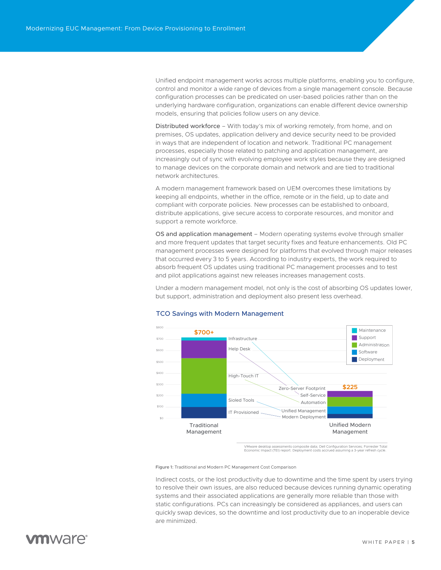Unified endpoint management works across multiple platforms, enabling you to configure, control and monitor a wide range of devices from a single management console. Because configuration processes can be predicated on user-based policies rather than on the underlying hardware configuration, organizations can enable different device ownership models, ensuring that policies follow users on any device.

Distributed workforce – With today's mix of working remotely, from home, and on premises, OS updates, application delivery and device security need to be provided in ways that are independent of location and network. Traditional PC management processes, especially those related to patching and application management, are increasingly out of sync with evolving employee work styles because they are designed to manage devices on the corporate domain and network and are tied to traditional network architectures.

A modern management framework based on UEM overcomes these limitations by keeping all endpoints, whether in the office, remote or in the field, up to date and compliant with corporate policies. New processes can be established to onboard, distribute applications, give secure access to corporate resources, and monitor and support a remote workforce.

OS and application management – Modern operating systems evolve through smaller and more frequent updates that target security fixes and feature enhancements. Old PC management processes were designed for platforms that evolved through major releases that occurred every 3 to 5 years. According to industry experts, the work required to absorb frequent OS updates using traditional PC management processes and to test and pilot applications against new releases increases management costs.

Under a modern management model, not only is the cost of absorbing OS updates lower, but support, administration and deployment also present less overhead.



#### TCO Savings with Modern Management

VMware desktop assessments composite data; Dell Configuration Services; Forrester Total Economic Impact (TEI) report. Deployment costs accrued assuming a 3-year refresh cycle.

Figure 1: Traditional and Modern PC Management Cost Comparison

Indirect costs, or the lost productivity due to downtime and the time spent by users trying to resolve their own issues, are also reduced because devices running dynamic operating systems and their associated applications are generally more reliable than those with static configurations. PCs can increasingly be considered as appliances, and users can quickly swap devices, so the downtime and lost productivity due to an inoperable device are minimized.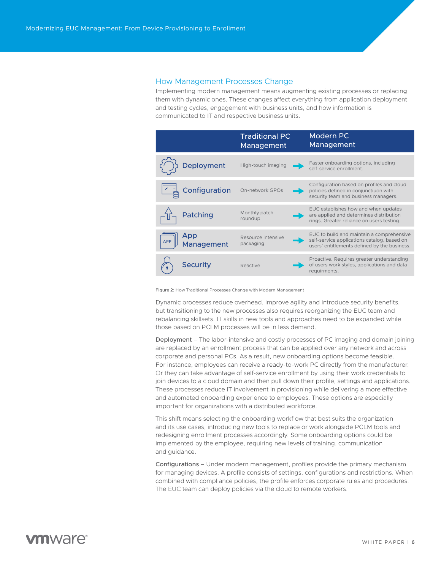#### <span id="page-5-0"></span>How Management Processes Change

Implementing modern management means augmenting existing processes or replacing them with dynamic ones. These changes affect everything from application deployment and testing cycles, engagement with business units, and how information is communicated to IT and respective business units.



Figure 2: How Traditional Processes Change with Modern Management

Dynamic processes reduce overhead, improve agility and introduce security benefits, but transitioning to the new processes also requires reorganizing the EUC team and rebalancing skillsets. IT skills in new tools and approaches need to be expanded while those based on PCLM processes will be in less demand.

Deployment – The labor-intensive and costly processes of PC imaging and domain joining are replaced by an enrollment process that can be applied over any network and across corporate and personal PCs. As a result, new onboarding options become feasible. For instance, employees can receive a ready-to-work PC directly from the manufacturer. Or they can take advantage of self-service enrollment by using their work credentials to join devices to a cloud domain and then pull down their profile, settings and applications. These processes reduce IT involvement in provisioning while delivering a more effective and automated onboarding experience to employees. These options are especially important for organizations with a distributed workforce.

This shift means selecting the onboarding workflow that best suits the organization and its use cases, introducing new tools to replace or work alongside PCLM tools and redesigning enrollment processes accordingly. Some onboarding options could be implemented by the employee, requiring new levels of training, communication and guidance.

Configurations – Under modern management, profiles provide the primary mechanism for managing devices. A profile consists of settings, configurations and restrictions. When combined with compliance policies, the profile enforces corporate rules and procedures. The EUC team can deploy policies via the cloud to remote workers.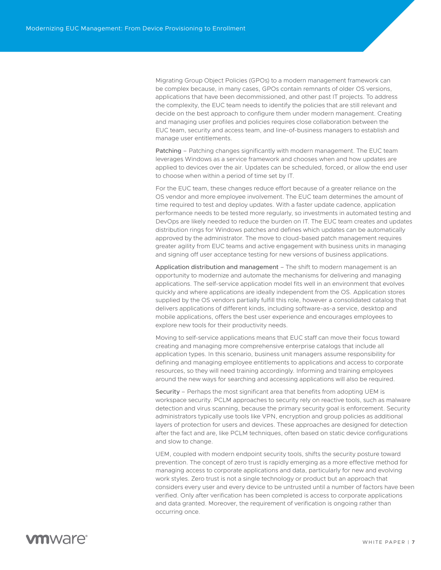Migrating Group Object Policies (GPOs) to a modern management framework can be complex because, in many cases, GPOs contain remnants of older OS versions, applications that have been decommissioned, and other past IT projects. To address the complexity, the EUC team needs to identify the policies that are still relevant and decide on the best approach to configure them under modern management. Creating and managing user profiles and policies requires close collaboration between the EUC team, security and access team, and line-of-business managers to establish and manage user entitlements.

Patching - Patching changes significantly with modern management. The EUC team leverages Windows as a service framework and chooses when and how updates are applied to devices over the air. Updates can be scheduled, forced, or allow the end user to choose when within a period of time set by IT.

For the EUC team, these changes reduce effort because of a greater reliance on the OS vendor and more employee involvement. The EUC team determines the amount of time required to test and deploy updates. With a faster update cadence, application performance needs to be tested more regularly, so investments in automated testing and DevOps are likely needed to reduce the burden on IT. The EUC team creates and updates distribution rings for Windows patches and defines which updates can be automatically approved by the administrator. The move to cloud-based patch management requires greater agility from EUC teams and active engagement with business units in managing and signing off user acceptance testing for new versions of business applications.

Application distribution and management – The shift to modern management is an opportunity to modernize and automate the mechanisms for delivering and managing applications. The self-service application model fits well in an environment that evolves quickly and where applications are ideally independent from the OS. Application stores supplied by the OS vendors partially fulfill this role, however a consolidated catalog that delivers applications of different kinds, including software-as-a service, desktop and mobile applications, offers the best user experience and encourages employees to explore new tools for their productivity needs.

Moving to self-service applications means that EUC staff can move their focus toward creating and managing more comprehensive enterprise catalogs that include all application types. In this scenario, business unit managers assume responsibility for defining and managing employee entitlements to applications and access to corporate resources, so they will need training accordingly. Informing and training employees around the new ways for searching and accessing applications will also be required.

Security – Perhaps the most significant area that benefits from adopting UEM is workspace security. PCLM approaches to security rely on reactive tools, such as malware detection and virus scanning, because the primary security goal is enforcement. Security administrators typically use tools like VPN, encryption and group policies as additional layers of protection for users and devices. These approaches are designed for detection after the fact and are, like PCLM techniques, often based on static device configurations and slow to change.

UEM, coupled with modern endpoint security tools, shifts the security posture toward prevention. The concept of zero trust is rapidly emerging as a more effective method for managing access to corporate applications and data, particularly for new and evolving work styles. Zero trust is not a single technology or product but an approach that considers every user and every device to be untrusted until a number of factors have been verified. Only after verification has been completed is access to corporate applications and data granted. Moreover, the requirement of verification is ongoing rather than occurring once.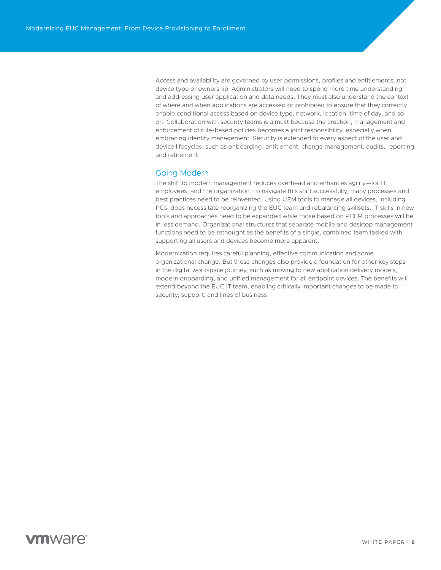Access and availability are governed by user permissions, profiles and entitlements, not device type or ownership. Administrators will need to spend more time understanding and addressing user application and data needs. They must also understand the context of where and when applications are accessed or prohibited to ensure that they correctly enable conditional access based on device type, network, location, time of day, and so on. Collaboration with security teams is a must because the creation, management and enforcement of rule-based policies becomes a joint responsibility, especially when embracing identity management. Security is extended to every aspect of the user and device lifecycles, such as onboarding, entitlement, change management, audits, reporting and retirement.

#### <span id="page-7-0"></span>Going Modern

The shift to modern management reduces overhead and enhances agility—for IT, employees, and the organization. To navigate this shift successfully, many processes and best practices need to be reinvented. Using UEM tools to manage all devices, including PCs, does necessitate reorganizing the EUC team and rebalancing skillsets. IT skills in new tools and approaches need to be expanded while those based on PCLM processes will be in less demand. Organizational structures that separate mobile and desktop management functions need to be rethought as the benefits of a single, combined team tasked with supporting all users and devices become more apparent.

Modernization requires careful planning, effective communication and some organizational change. But these changes also provide a foundation for other key steps in the digital workspace journey, such as moving to new application delivery models, modern onboarding, and unified management for all endpoint devices. The benefits will extend beyond the EUC IT team, enabling critically important changes to be made to security, support, and lines of business.